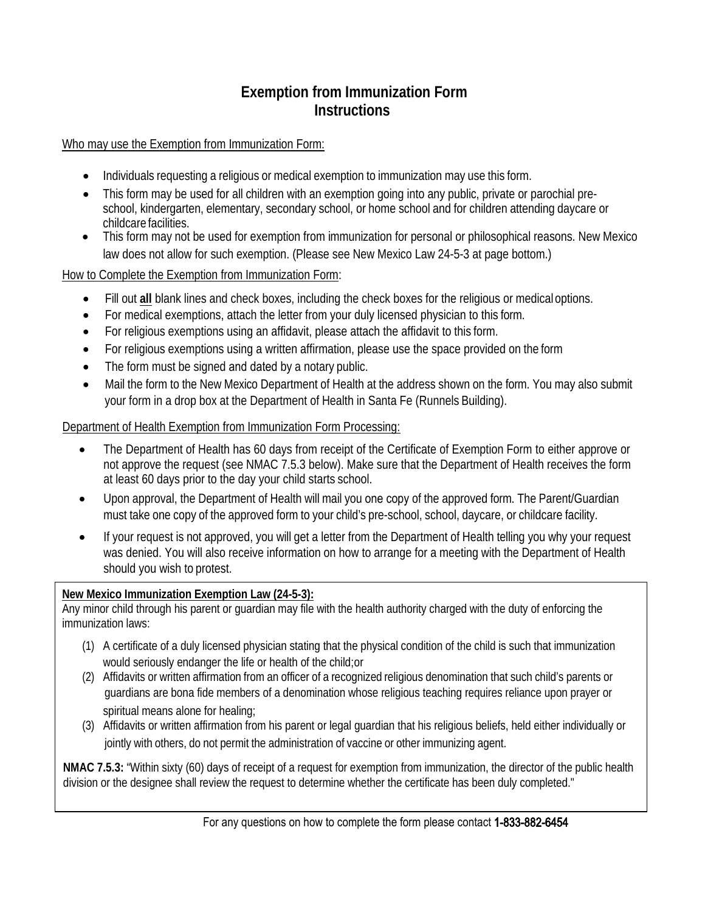### **Exemption from Immunization Form Instructions**

Who may use the Exemption from Immunization Form:

- Individuals requesting a religious or medical exemption to immunization may use this form.
- This form may be used for all children with an exemption going into any public, private or parochial preschool, kindergarten, elementary, secondary school, or home school and for children attending daycare or childcare facilities.
- This form may not be used for exemption from immunization for personal or philosophical reasons. New Mexico law does not allow for such exemption. (Please see New Mexico Law 24-5-3 at page bottom.)

How to Complete the Exemption from Immunization Form:

- Fill out **all** blank lines and check boxes, including the check boxes for the religious or medicaloptions.
- For medical exemptions, attach the letter from your duly licensed physician to this form.
- For religious exemptions using an affidavit, please attach the affidavit to this form.
- For religious exemptions using a written affirmation, please use the space provided on the form
- The form must be signed and dated by a notary public.
- Mail the form to the New Mexico Department of Health at the address shown on the form. You may also submit your form in a drop box at the Department of Health in Santa Fe (Runnels Building).

#### Department of Health Exemption from Immunization Form Processing:

- The Department of Health has 60 days from receipt of the Certificate of Exemption Form to either approve or not approve the request (see NMAC 7.5.3 below). Make sure that the Department of Health receives the form at least 60 days prior to the day your child starts school.
- Upon approval, the Department of Health will mail you one copy of the approved form. The Parent/Guardian must take one copy of the approved form to your child's pre-school, school, daycare, or childcare facility.
- If your request is not approved, you will get a letter from the Department of Health telling you why your request was denied. You will also receive information on how to arrange for a meeting with the Department of Health should you wish to protest.

#### **New Mexico Immunization Exemption Law (24-5-3):**

Any minor child through his parent or guardian may file with the health authority charged with the duty of enforcing the immunization laws:

- (1) A certificate of a duly licensed physician stating that the physical condition of the child is such that immunization would seriously endanger the life or health of the child;or
- (2) Affidavits or written affirmation from an officer of a recognized religious denomination that such child's parents or guardians are bona fide members of a denomination whose religious teaching requires reliance upon prayer or spiritual means alone for healing;
- (3) Affidavits or written affirmation from his parent or legal guardian that his religious beliefs, held either individually or jointly with others, do not permit the administration of vaccine or other immunizing agent.

**NMAC 7.5.3:** "Within sixty (60) days of receipt of a request for exemption from immunization, the director of the public health division or the designee shall review the request to determine whether the certificate has been duly completed."